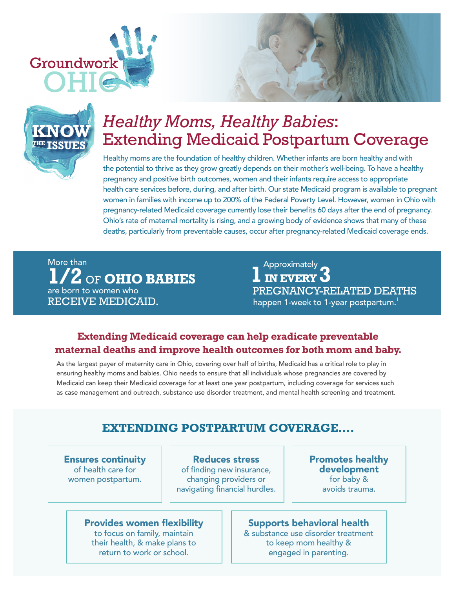





# *Healthy Moms, Healthy Babies*: Extending Medicaid Postpartum Coverage

Healthy moms are the foundation of healthy children. Whether infants are born healthy and with the potential to thrive as they grow greatly depends on their mother's well-being. To have a healthy pregnancy and positive birth outcomes, women and their infants require access to appropriate health care services before, during, and after birth. Our state Medicaid program is available to pregnant women in families with income up to 200% of the Federal Poverty Level. However, women in Ohio with pregnancy-related Medicaid coverage currently lose their benefits 60 days after the end of pregnancy. Ohio's rate of maternal mortality is rising, and a growing body of evidence shows that many of these deaths, particularly from preventable causes, occur after pregnancy-related Medicaid coverage ends.

More than **1/2** OF **OHIO BABIES** are born to women who RECEIVE MEDICAID.

Approximately<br>**IN EVERY 3** PREGNANCY-RELATED DEATHS happen 1-week to 1-year postpartum.<sup>1</sup>

## **Extending Medicaid coverage can help eradicate preventable maternal deaths and improve health outcomes for both mom and baby.**

As the largest payer of maternity care in Ohio, covering over half of births, Medicaid has a critical role to play in ensuring healthy moms and babies. Ohio needs to ensure that all individuals whose pregnancies are covered by Medicaid can keep their Medicaid coverage for at least one year postpartum, including coverage for services such as case management and outreach, substance use disorder treatment, and mental health screening and treatment.

## **EXTENDING POSTPARTUM COVERAGE….**

Ensures continuity of health care for women postpartum.

Reduces stress of finding new insurance, changing providers or navigating financial hurdles. Promotes healthy development for baby & avoids trauma.

#### Provides women flexibility

to focus on family, maintain their health, & make plans to return to work or school.

#### Supports behavioral health & substance use disorder treatment

to keep mom healthy & engaged in parenting.